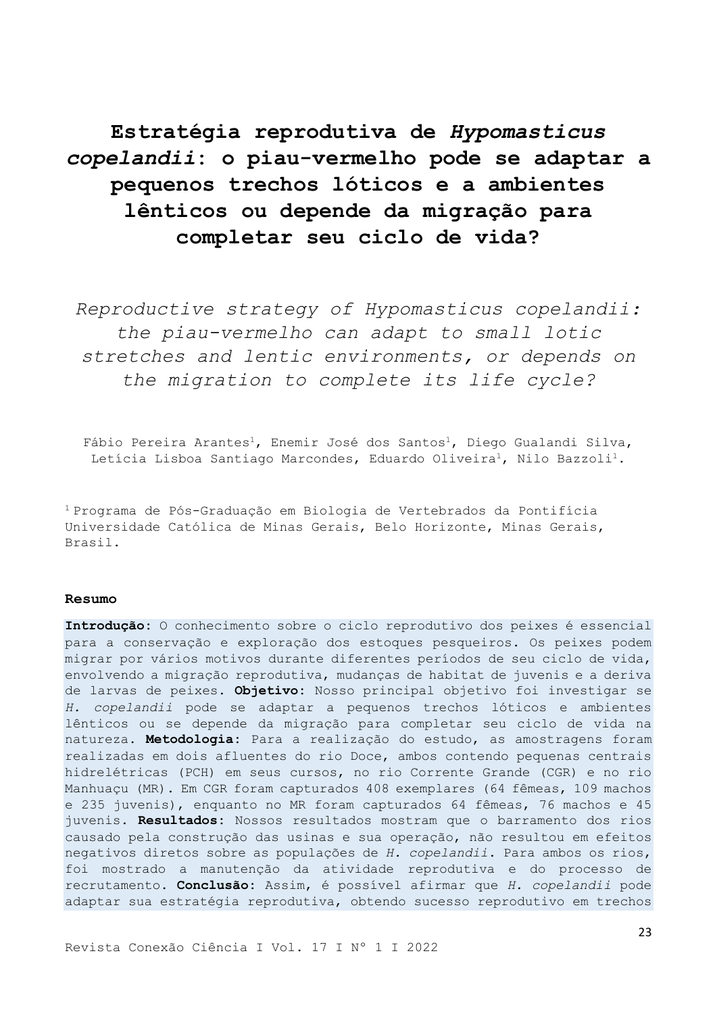# **Estratégia reprodutiva de** *Hypomasticus copelandii***: o piau-vermelho pode se adaptar a pequenos trechos lóticos e a ambientes lênticos ou depende da migração para completar seu ciclo de vida?**

*Reproductive strategy of Hypomasticus copelandii: the piau-vermelho can adapt to small lotic stretches and lentic environments, or depends on the migration to complete its life cycle?*

Fábio Pereira Arantes<sup>1</sup>, Enemir José dos Santos<sup>1</sup>, Diego Gualandi Silva, Letícia Lisboa Santiago Marcondes, Eduardo Oliveira<sup>1</sup>, Nilo Bazzoli<sup>1</sup>.

<sup>1</sup> Programa de Pós-Graduação em Biologia de Vertebrados da Pontifícia Universidade Católica de Minas Gerais, Belo Horizonte, Minas Gerais, Brasil.

### **Resumo**

**Introdução:** O conhecimento sobre o ciclo reprodutivo dos peixes é essencial para a conservação e exploração dos estoques pesqueiros. Os peixes podem migrar por vários motivos durante diferentes períodos de seu ciclo de vida, envolvendo a migração reprodutiva, mudanças de habitat de juvenis e a deriva de larvas de peixes. **Objetivo:** Nosso principal objetivo foi investigar se *H. copelandii* pode se adaptar a pequenos trechos lóticos e ambientes lênticos ou se depende da migração para completar seu ciclo de vida na natureza. **Metodologia:** Para a realização do estudo, as amostragens foram realizadas em dois afluentes do rio Doce, ambos contendo pequenas centrais hidrelétricas (PCH) em seus cursos, no rio Corrente Grande (CGR) e no rio Manhuaçu (MR). Em CGR foram capturados 408 exemplares (64 fêmeas, 109 machos e 235 juvenis), enquanto no MR foram capturados 64 fêmeas, 76 machos e 45 juvenis. **Resultados:** Nossos resultados mostram que o barramento dos rios causado pela construção das usinas e sua operação, não resultou em efeitos negativos diretos sobre as populações de *H. copelandii*. Para ambos os rios, foi mostrado a manutenção da atividade reprodutiva e do processo de recrutamento. **Conclusão:** Assim, é possível afirmar que *H. copelandii* pode adaptar sua estratégia reprodutiva, obtendo sucesso reprodutivo em trechos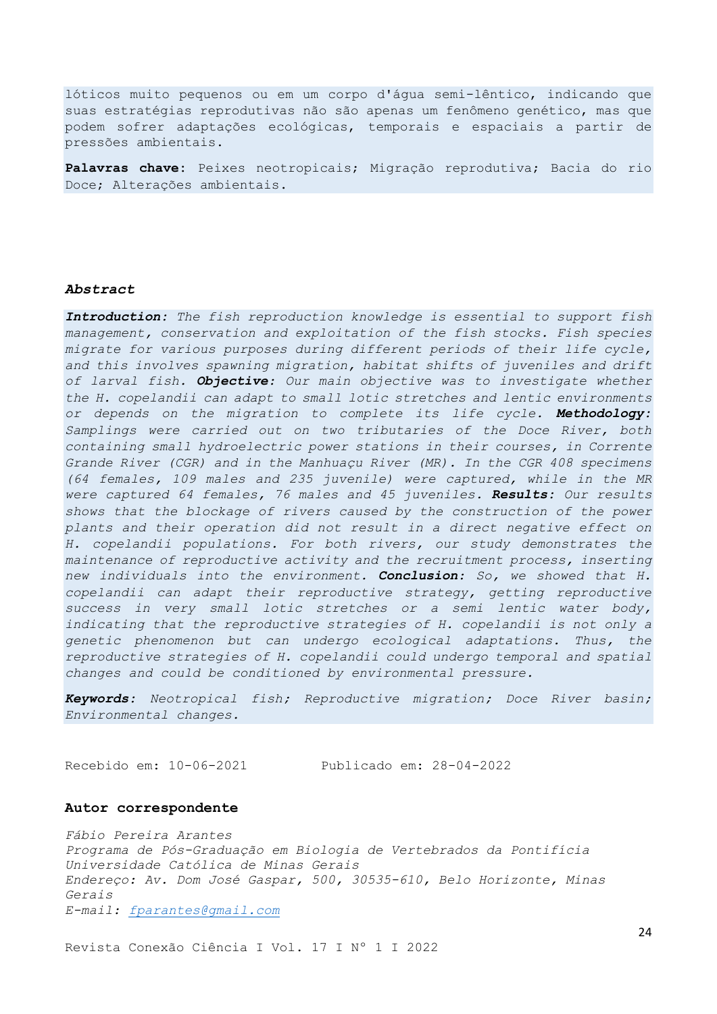lóticos muito pequenos ou em um corpo d'água semi-lêntico, indicando que suas estratégias reprodutivas não são apenas um fenômeno genético, mas que podem sofrer adaptações ecológicas, temporais e espaciais a partir de pressões ambientais.

**Palavras chave:** Peixes neotropicais; Migração reprodutiva; Bacia do rio Doce; Alterações ambientais.

#### *Abstract*

*Introduction: The fish reproduction knowledge is essential to support fish management, conservation and exploitation of the fish stocks. Fish species migrate for various purposes during different periods of their life cycle, and this involves spawning migration, habitat shifts of juveniles and drift of larval fish. Objective: Our main objective was to investigate whether the H. copelandii can adapt to small lotic stretches and lentic environments or depends on the migration to complete its life cycle. Methodology: Samplings were carried out on two tributaries of the Doce River, both containing small hydroelectric power stations in their courses, in Corrente Grande River (CGR) and in the Manhuaçu River (MR). In the CGR 408 specimens (64 females, 109 males and 235 juvenile) were captured, while in the MR were captured 64 females, 76 males and 45 juveniles. Results: Our results shows that the blockage of rivers caused by the construction of the power plants and their operation did not result in a direct negative effect on H. copelandii populations. For both rivers, our study demonstrates the maintenance of reproductive activity and the recruitment process, inserting new individuals into the environment. Conclusion: So, we showed that H. copelandii can adapt their reproductive strategy, getting reproductive success in very small lotic stretches or a semi lentic water body, indicating that the reproductive strategies of H. copelandii is not only a genetic phenomenon but can undergo ecological adaptations. Thus, the reproductive strategies of H. copelandii could undergo temporal and spatial changes and could be conditioned by environmental pressure.*

*Keywords: Neotropical fish; Reproductive migration; Doce River basin; Environmental changes.*

Recebido em: 10-06-2021 Publicado em: 28-04-2022

# **Autor correspondente**

*Fábio Pereira Arantes Programa de Pós-Graduação em Biologia de Vertebrados da Pontifícia Universidade Católica de Minas Gerais Endereço: Av. Dom José Gaspar, 500, 30535-610, Belo Horizonte, Minas Gerais E-mail: [fparantes@gmail.com](mailto:fparantes@gmail.com)*

Revista Conexão Ciência I Vol. 17 I Nº 1 I 2022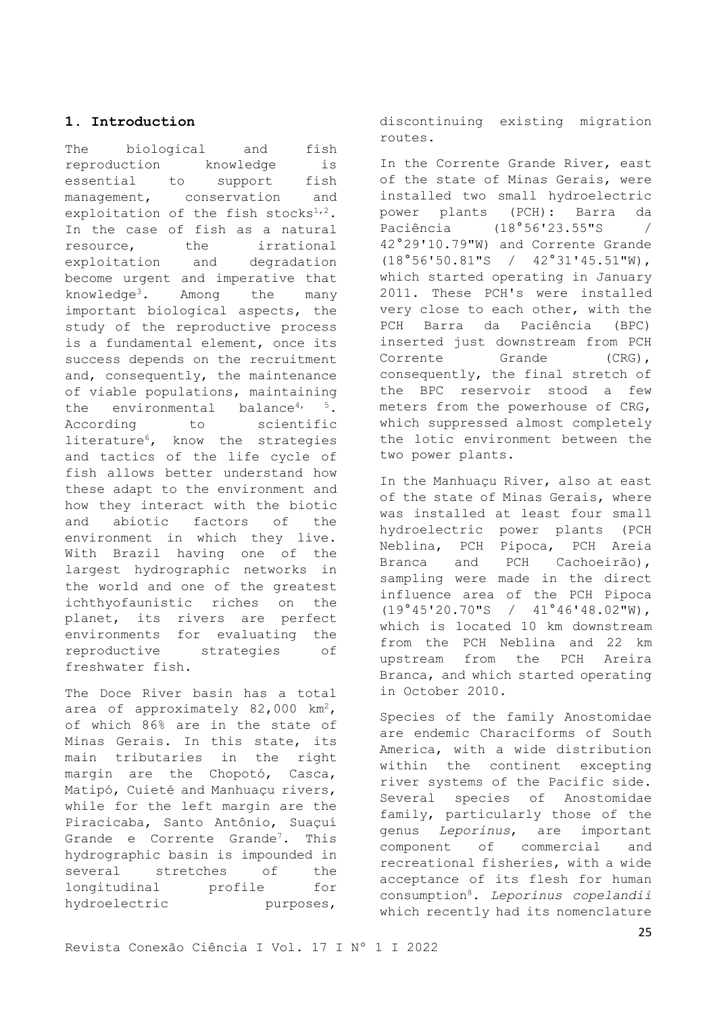# **1. Introduction**

The biological and fish reproduction knowledge is essential to support fish management, conservation and exploitation of the fish stocks $1,2$ . In the case of fish as a natural resource, the irrational exploitation and degradation become urgent and imperative that knowledge<sup>3</sup>. Among the many important biological aspects, the study of the reproductive process is a fundamental element, once its success depends on the recruitment and, consequently, the maintenance of viable populations, maintaining the environmental balance<sup>4</sup>,  $5$ . According to scientific literature<sup>6</sup>, know the strategies and tactics of the life cycle of fish allows better understand how these adapt to the environment and how they interact with the biotic and abiotic factors of the environment in which they live. With Brazil having one of the largest hydrographic networks in the world and one of the greatest ichthyofaunistic riches on the planet, its rivers are perfect environments for evaluating the reproductive strategies of freshwater fish.

The Doce River basin has a total area of approximately  $82,000 \text{ km}^2$ , of which 86% are in the state of Minas Gerais. In this state, its main tributaries in the right margin are the Chopotó, Casca, Matipó, Cuieté and Manhuaçu rivers, while for the left margin are the Piracicaba, Santo Antônio, Suaçuí Grande e Corrente Grande<sup>7</sup>. This hydrographic basin is impounded in several stretches of the longitudinal profile for hydroelectric purposes,

discontinuing existing migration routes.

In the Corrente Grande River, east of the state of Minas Gerais, were installed two small hydroelectric power plants (PCH): Barra da Paciência (18°56'23.55"S / 42°29'10.79"W) and Corrente Grande (18°56'50.81"S / 42°31'45.51"W), which started operating in January 2011. These PCH's were installed very close to each other, with the PCH Barra da Paciência (BPC) inserted just downstream from PCH Corrente Grande (CRG), consequently, the final stretch of the BPC reservoir stood a few meters from the powerhouse of CRG, which suppressed almost completely the lotic environment between the two power plants.

In the Manhuaçu River, also at east of the state of Minas Gerais, where was installed at least four small hydroelectric power plants (PCH Neblina, PCH Pipoca, PCH Areia Branca and PCH Cachoeirão), sampling were made in the direct influence area of the PCH Pipoca (19°45'20.70"S / 41°46'48.02"W), which is located 10 km downstream from the PCH Neblina and 22 km upstream from the PCH Areira Branca, and which started operating in October 2010.

Species of the family Anostomidae are endemic Characiforms of South America, with a wide distribution within the continent excepting river systems of the Pacific side. Several species of Anostomidae family, particularly those of the genus *Leporinus*, are important component of commercial and recreational fisheries, with a wide acceptance of its flesh for human consumption<sup>8</sup>. *Leporinus copelandii* which recently had its nomenclature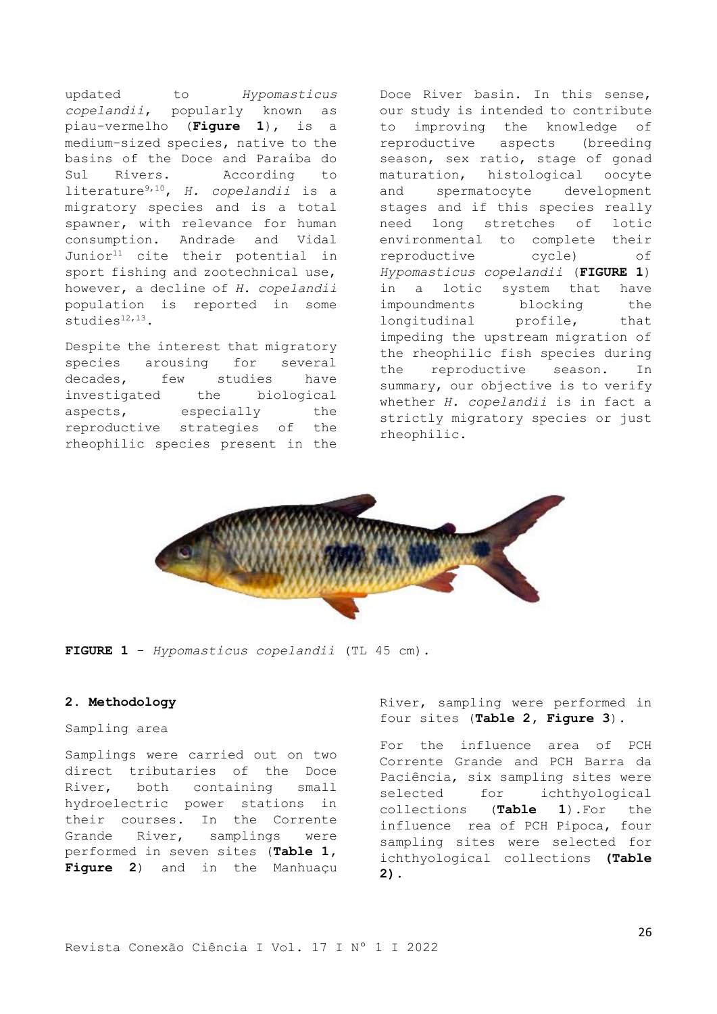updated to *Hypomasticus copelandii*, popularly known as piau-vermelho (**Figure 1**), is a medium-sized species, native to the basins of the Doce and Paraíba do Sul Rivers. According to literature9,10, *H. copelandii* is a migratory species and is a total spawner, with relevance for human consumption. Andrade and Vidal Junior<sup>11</sup> cite their potential in sport fishing and zootechnical use, however, a decline of *H. copelandii* population is reported in some studies $12,13$ .

Despite the interest that migratory species arousing for several decades, few studies have investigated the biological aspects, especially the reproductive strategies of the rheophilic species present in the

Doce River basin. In this sense, our study is intended to contribute to improving the knowledge of reproductive aspects (breeding season, sex ratio, stage of gonad maturation, histological oocyte and spermatocyte development stages and if this species really need long stretches of lotic environmental to complete their reproductive cycle) of *Hypomasticus copelandii* (**FIGURE 1**) in a lotic system that have impoundments blocking the longitudinal profile, that impeding the upstream migration of the rheophilic fish species during the reproductive season. In summary, our objective is to verify whether *H. copelandii* is in fact a strictly migratory species or just rheophilic.



**FIGURE 1** - *Hypomasticus copelandii* (TL 45 cm).

## **2. Methodology**

#### Sampling area

Samplings were carried out on two direct tributaries of the Doce River, both containing small hydroelectric power stations in their courses. In the Corrente Grande River, samplings were performed in seven sites (**Table 1, Figure 2**) and in the Manhuaçu

River, sampling were performed in four sites (**Table 2, Figure 3**).

For the influence area of PCH Corrente Grande and PCH Barra da Paciência, six sampling sites were selected for ichthyological collections (**Table 1**).For the influence rea of PCH Pipoca, four sampling sites were selected for ichthyological collections **(Table 2)**.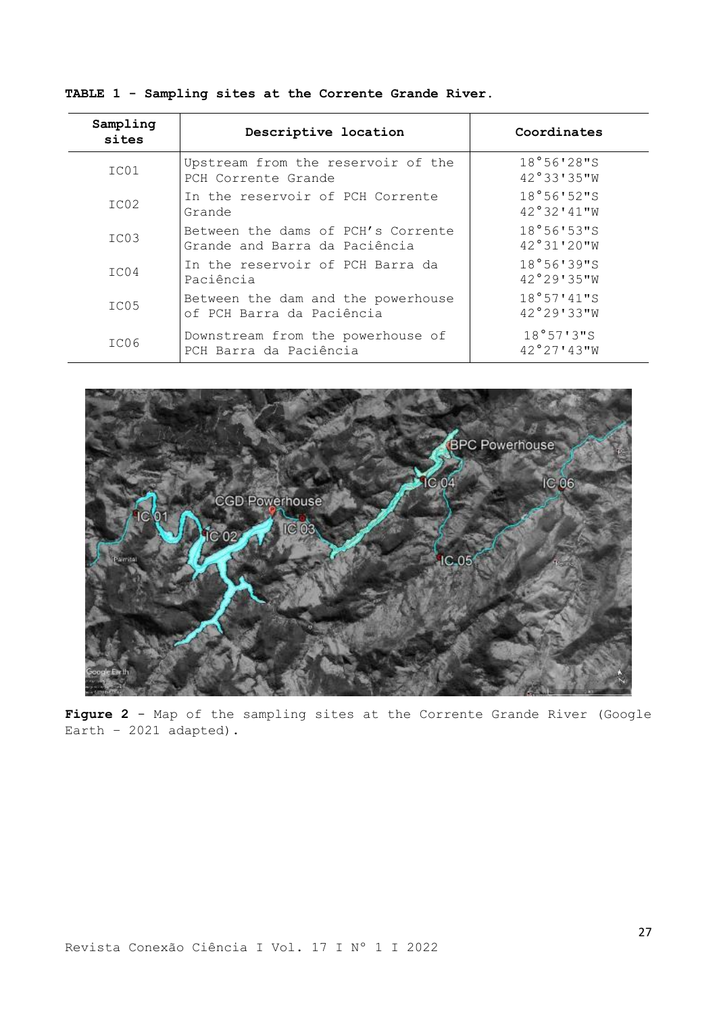**TABLE 1 - Sampling sites at the Corrente Grande River.**

| Sampling<br>sites | Descriptive location                                                | Coordinates              |  |  |
|-------------------|---------------------------------------------------------------------|--------------------------|--|--|
| IC01              | Upstream from the reservoir of the<br>PCH Corrente Grande           | 18°56'28"S<br>42°33'35"W |  |  |
| IC <sub>02</sub>  | In the reservoir of PCH Corrente<br>Grande                          | 18°56'52"S<br>42°32'11"W |  |  |
| IC <sub>03</sub>  | Between the dams of PCH's Corrente<br>Grande and Barra da Paciência | 18°56'53"S<br>42°31'20"W |  |  |
| IC04              | In the reservoir of PCH Barra da<br>Paciência                       | 18°56'39"S<br>42°29'35"W |  |  |
| IC05              | Between the dam and the powerhouse<br>of PCH Barra da Paciência     | 18°57'41"S<br>42°29'33"W |  |  |
| IC06              | Downstream from the powerhouse of<br>PCH Barra da Paciência         | 18°57'3"S<br>42°27'43''W |  |  |



Figure 2 - Map of the sampling sites at the Corrente Grande River (Google Earth -  $2021$  adapted).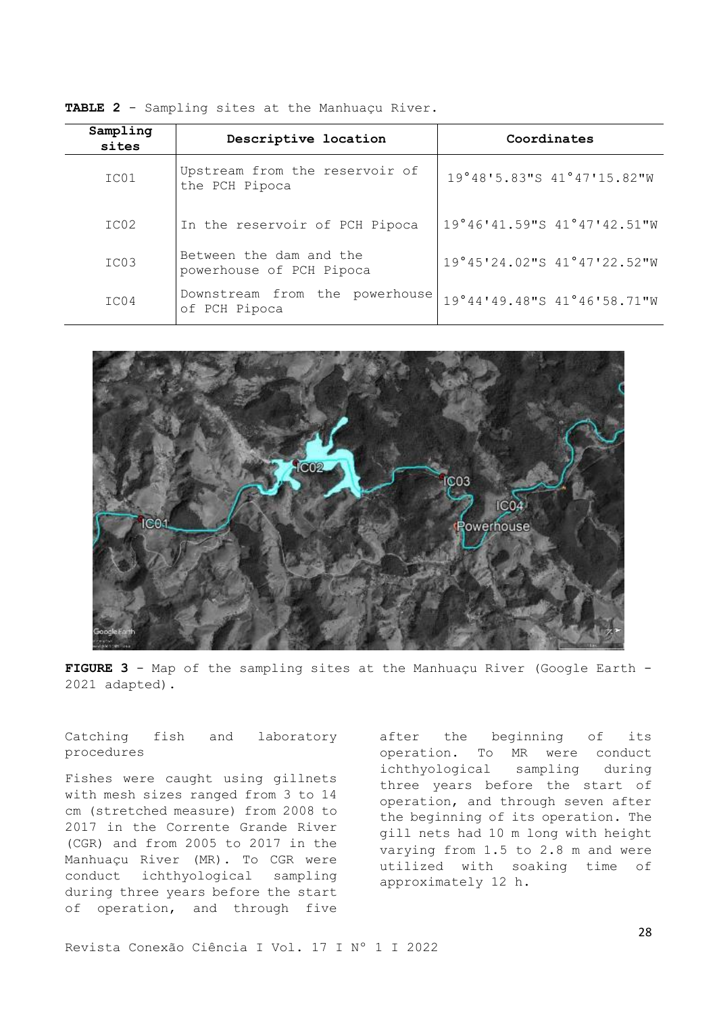| Sampling<br>sites | Descriptive location                                | Coordinates                 |
|-------------------|-----------------------------------------------------|-----------------------------|
| IC01              | Upstream from the reservoir of<br>the PCH Pipoca    | 19°48'5.83"S 41°47'15.82"W  |
| IC <sub>02</sub>  | In the reservoir of PCH Pipoca                      | 19°46'41.59"S 41°47'42.51"W |
| IC03              | Between the dam and the<br>powerhouse of PCH Pipoca | 19°45'24.02"S 41°47'22.52"W |
| IC04              | Downstream from the powerhouse<br>of PCH Pipoca     | 19°44'49.48"S 41°46'58.71"W |

**TABLE 2** - Sampling sites at the Manhuaçu River.



**FIGURE 3** - Map of the sampling sites at the Manhuaçu River (Google Earth - 2021 adapted).

Catching fish and laboratory procedures

Fishes were caught using gillnets with mesh sizes ranged from 3 to 14 cm (stretched measure) from 2008 to 2017 in the Corrente Grande River (CGR) and from 2005 to 2017 in the Manhuaçu River (MR). To CGR were conduct ichthyological sampling during three years before the start of operation, and through five

after the beginning of its operation. To MR were conduct ichthyological sampling during three years before the start of operation, and through seven after the beginning of its operation. The gill nets had 10 m long with height varying from 1.5 to 2.8 m and were utilized with soaking time of approximately 12 h.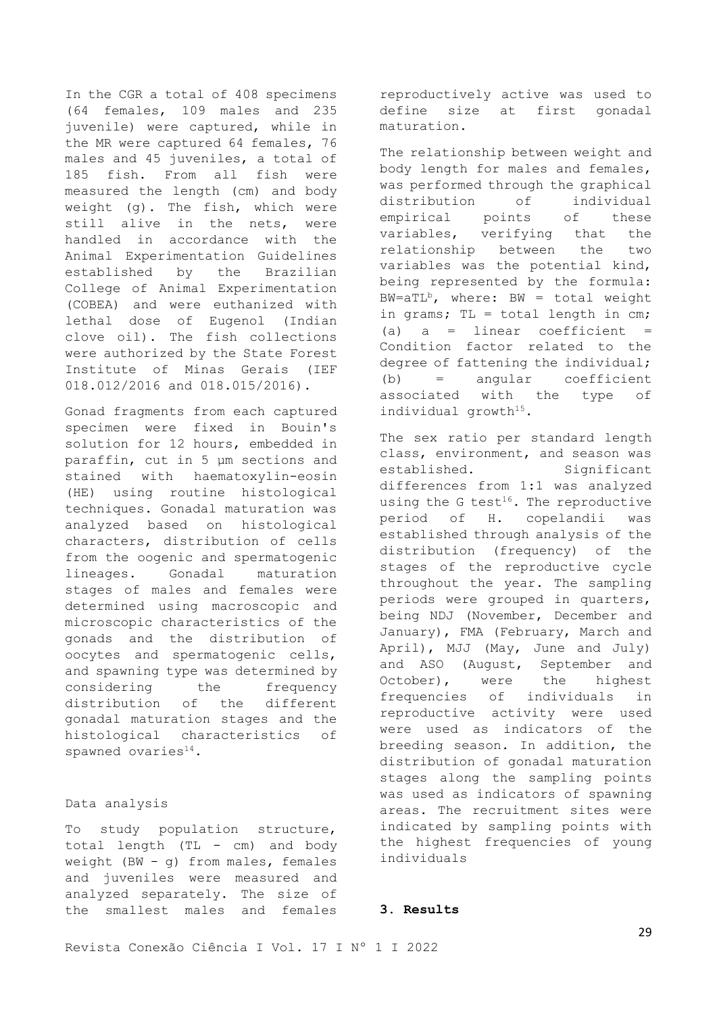In the CGR a total of 408 specimens (64 females, 109 males and 235 juvenile) were captured, while in the MR were captured 64 females, 76 males and 45 juveniles, a total of 185 fish. From all fish were measured the length (cm) and body weight (g). The fish, which were still alive in the nets, were handled in accordance with the Animal Experimentation Guidelines established by the Brazilian College of Animal Experimentation (COBEA) and were euthanized with lethal dose of Eugenol (Indian clove oil). The fish collections were authorized by the State Forest Institute of Minas Gerais (IEF 018.012/2016 and 018.015/2016).

Gonad fragments from each captured specimen were fixed in Bouin's solution for 12 hours, embedded in paraffin, cut in 5 µm sections and stained with haematoxylin-eosin (HE) using routine histological techniques. Gonadal maturation was analyzed based on histological characters, distribution of cells from the oogenic and spermatogenic lineages. Gonadal maturation stages of males and females were determined using macroscopic and microscopic characteristics of the gonads and the distribution of oocytes and spermatogenic cells, and spawning type was determined by considering the frequency distribution of the different gonadal maturation stages and the histological characteristics of spawned ovaries $^{14}$ .

#### Data analysis

To study population structure, total length (TL - cm) and body weight  $(BW - g)$  from males, females and juveniles were measured and analyzed separately. The size of the smallest males and females

reproductively active was used to define size at first gonadal maturation.

The relationship between weight and body length for males and females, was performed through the graphical distribution of individual empirical points of these variables, verifying that the relationship between the two variables was the potential kind, being represented by the formula:  $BW=aTL<sup>b</sup>$ , where: BW = total weight in grams; TL = total length in cm; (a)  $a =$  linear coefficient = Condition factor related to the degree of fattening the individual; (b) = angular coefficient associated with the type of individual growth<sup>15</sup>.

The sex ratio per standard length class, environment, and season was established. Significant differences from 1:1 was analyzed using the G test $16$ . The reproductive period of H. copelandii was established through analysis of the distribution (frequency) of the stages of the reproductive cycle throughout the year. The sampling periods were grouped in quarters, being NDJ (November, December and January), FMA (February, March and April), MJJ (May, June and July) and ASO (August, September and October), were the highest frequencies of individuals in reproductive activity were used were used as indicators of the breeding season. In addition, the distribution of gonadal maturation stages along the sampling points was used as indicators of spawning areas. The recruitment sites were indicated by sampling points with the highest frequencies of young individuals

#### **3. Results**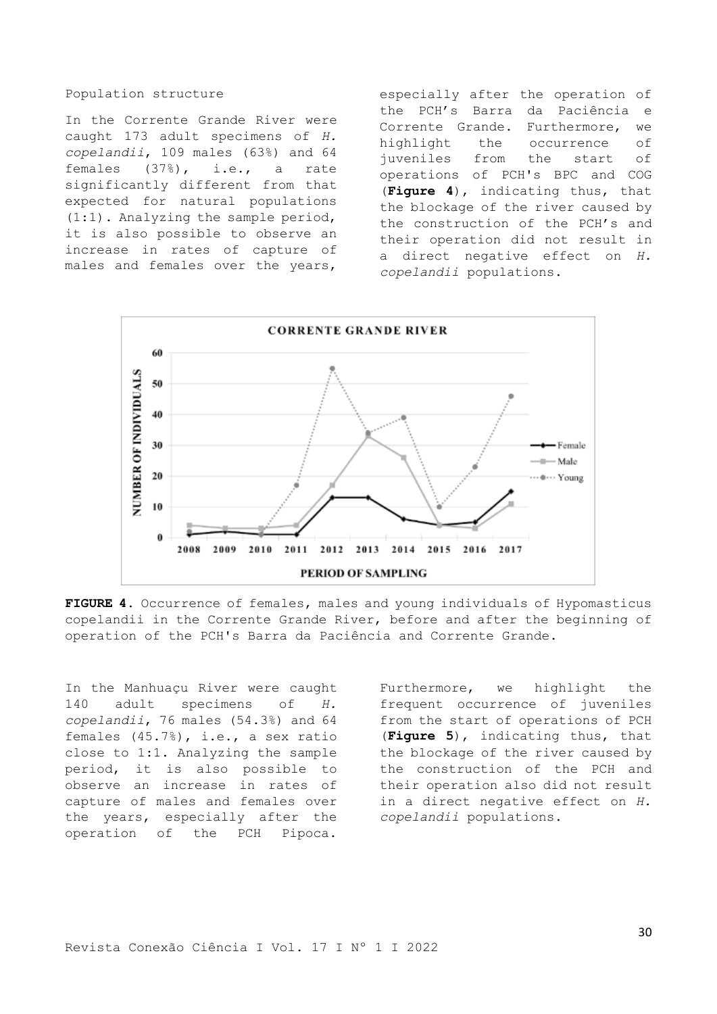#### Population structure

In the Corrente Grande River were caught 173 adult specimens of *H. copelandii*, 109 males (63%) and 64 females (37%), i.e., a rate significantly different from that expected for natural populations (1:1). Analyzing the sample period, it is also possible to observe an increase in rates of capture of males and females over the years,

especially after the operation of the PCH's Barra da Paciência e Corrente Grande. Furthermore, we highlight the occurrence of juveniles from the start of operations of PCH's BPC and COG (**Figure 4**), indicating thus, that the blockage of the river caused by the construction of the PCH's and their operation did not result in a direct negative effect on *H. copelandii* populations.



**FIGURE 4**. Occurrence of females, males and young individuals of Hypomasticus copelandii in the Corrente Grande River, before and after the beginning of operation of the PCH's Barra da Paciência and Corrente Grande.

In the Manhuaçu River were caught 140 adult specimens of *H. copelandii*, 76 males (54.3%) and 64 females (45.7%), i.e., a sex ratio close to 1:1. Analyzing the sample period, it is also possible to observe an increase in rates of capture of males and females over the years, especially after the operation of the PCH Pipoca.

Furthermore, we highlight the frequent occurrence of juveniles from the start of operations of PCH (**Figure 5**), indicating thus, that the blockage of the river caused by the construction of the PCH and their operation also did not result in a direct negative effect on *H. copelandii* populations.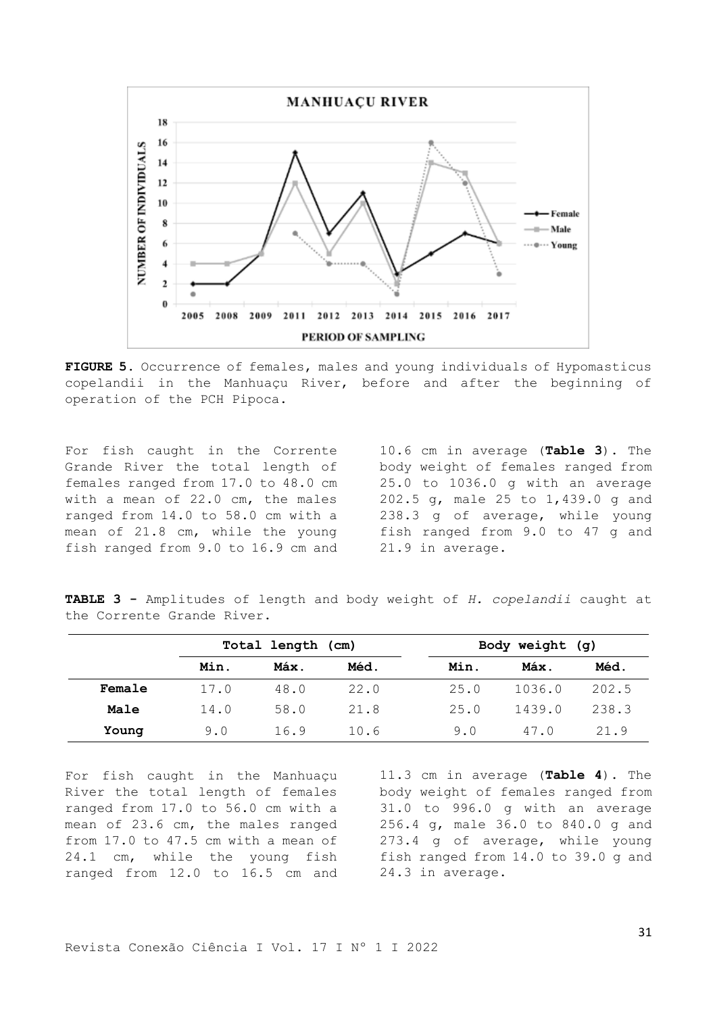

**FIGURE 5.** Occurrence of females, males and young individuals of Hypomasticus copelandii in the Manhuaçu River, before and after the beginning of operation of the PCH Pipoca.

For fish caught in the Corrente Grande River the total length of females ranged from 17.0 to 48.0 cm with a mean of 22.0 cm, the males ranged from 14.0 to 58.0 cm with a mean of 21.8 cm, while the young fish ranged from 9.0 to 16.9 cm and

10.6 cm in average (**Table 3**). The body weight of females ranged from 25.0 to 1036.0 g with an average 202.5 g, male 25 to 1,439.0 g and 238.3 g of average, while young fish ranged from 9.0 to 47 g and 21.9 in average.

**TABLE 3 -** Amplitudes of length and body weight of *H. copelandii* caught at the Corrente Grande River.

|        | Total length (cm) |      | Body weight (g) |       |        |       |
|--------|-------------------|------|-----------------|-------|--------|-------|
|        | Min.              | Máx. | Méd.            | Min.  | Máx.   | Méd.  |
| Female | 17.0              | 48.0 | 22.0            | 25.0  | 1036.0 | 202.5 |
| Male   | 14.0              | 58.0 | 21.8            | 2.5.0 | 1439.0 | 238.3 |
| Young  | 9.0               | 16.9 | 10.6            | 9.0   | 47.0   | 21.9  |

For fish caught in the Manhuaçu River the total length of females ranged from 17.0 to 56.0 cm with a mean of 23.6 cm, the males ranged from 17.0 to 47.5 cm with a mean of 24.1 cm, while the young fish ranged from 12.0 to 16.5 cm and

11.3 cm in average (**Table 4**). The body weight of females ranged from 31.0 to 996.0 g with an average 256.4 g, male 36.0 to 840.0 g and 273.4 g of average, while young fish ranged from 14.0 to 39.0 g and 24.3 in average.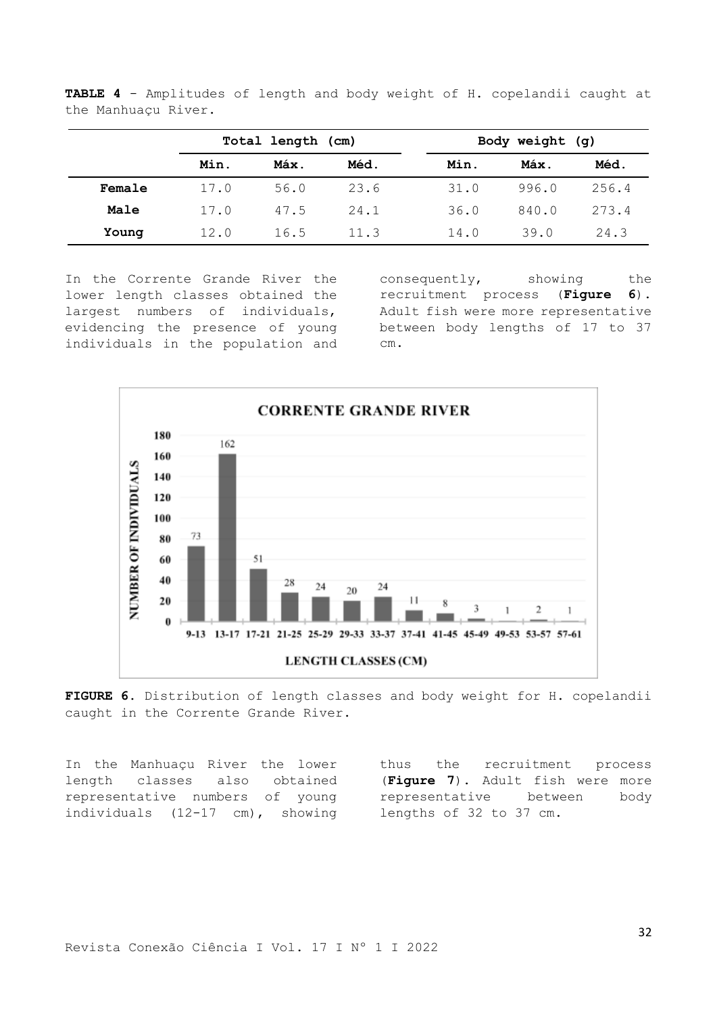|        | Total length (cm) |      | Body weight (g) |      |       |       |
|--------|-------------------|------|-----------------|------|-------|-------|
|        | Min.              | Máx. | Méd.            | Min. | Máx.  | Méd.  |
| Female | 17.0              | 56.0 | 23.6            | 31.0 | 996.0 | 256.4 |
| Male   | 17.0              | 47.5 | 24.1            | 36.0 | 840.0 | 273.4 |
| Young  | 12.0              | 16.5 | 11.3            | 14.0 | 39.0  | 24.3  |

**TABLE 4** - Amplitudes of length and body weight of H. copelandii caught at the Manhuaçu River.

In the Corrente Grande River the lower length classes obtained the largest numbers of individuals, evidencing the presence of young individuals in the population and

consequently, showing the recruitment process (**Figure 6**). Adult fish were more representative between body lengths of 17 to 37 cm.



**FIGURE 6.** Distribution of length classes and body weight for H. copelandii caught in the Corrente Grande River.

In the Manhuaçu River the lower length classes also obtained representative numbers of young individuals (12-17 cm), showing

thus the recruitment process (**Figure 7**). Adult fish were more representative between body lengths of 32 to 37 cm.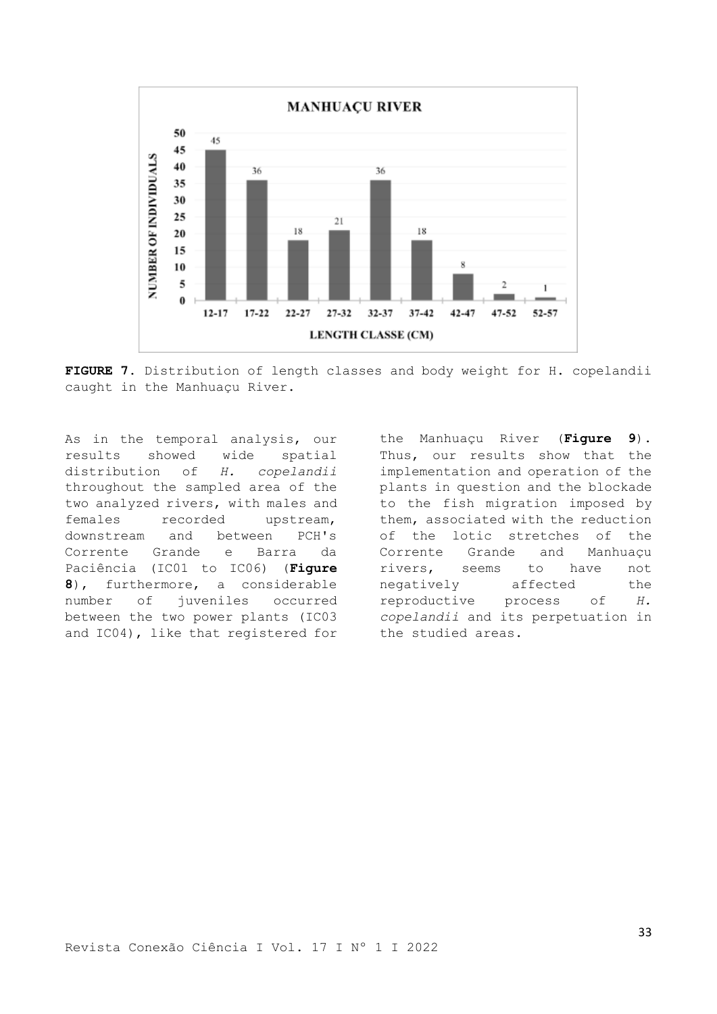

**FIGURE 7.** Distribution of length classes and body weight for H. copelandii caught in the Manhuaçu River.

As in the temporal analysis, our results showed wide spatial distribution of *H. copelandii* throughout the sampled area of the two analyzed rivers, with males and females recorded upstream, downstream and between PCH's Corrente Grande e Barra da Paciência (IC01 to IC06) (**Figure 8**), furthermore, a considerable number of juveniles occurred between the two power plants (IC03 and IC04), like that registered for

the Manhuaçu River (**Figure 9**). Thus, our results show that the implementation and operation of the plants in question and the blockade to the fish migration imposed by them, associated with the reduction of the lotic stretches of the Corrente Grande and Manhuaçu rivers, seems to have not negatively affected the reproductive process of *H. copelandii* and its perpetuation in the studied areas.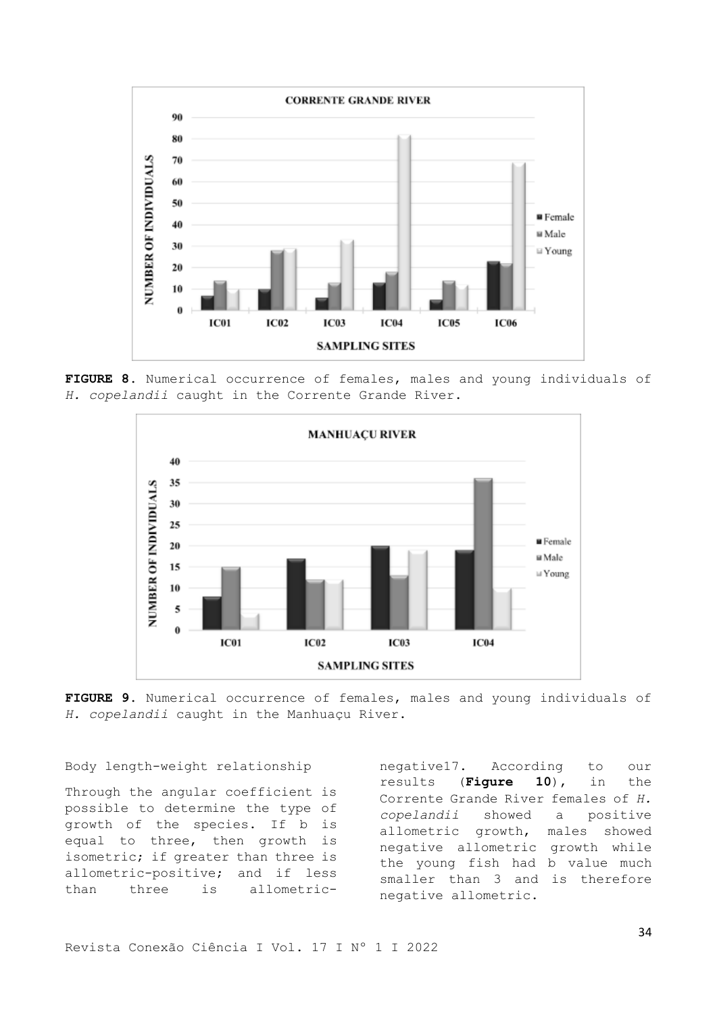

**FIGURE 8.** Numerical occurrence of females, males and young individuals of *H. copelandii* caught in the Corrente Grande River.



**FIGURE 9.** Numerical occurrence of females, males and young individuals of *H. copelandii* caught in the Manhuaçu River.

Body length-weight relationship

Through the angular coefficient is possible to determine the type of growth of the species. If b is equal to three, then growth is isometric; if greater than three is allometric-positive; and if less than three is allometricnegative17. According to our results (**Figure 10**), in the Corrente Grande River females of *H. copelandii* showed a positive allometric growth, males showed negative allometric growth while the young fish had b value much smaller than 3 and is therefore negative allometric.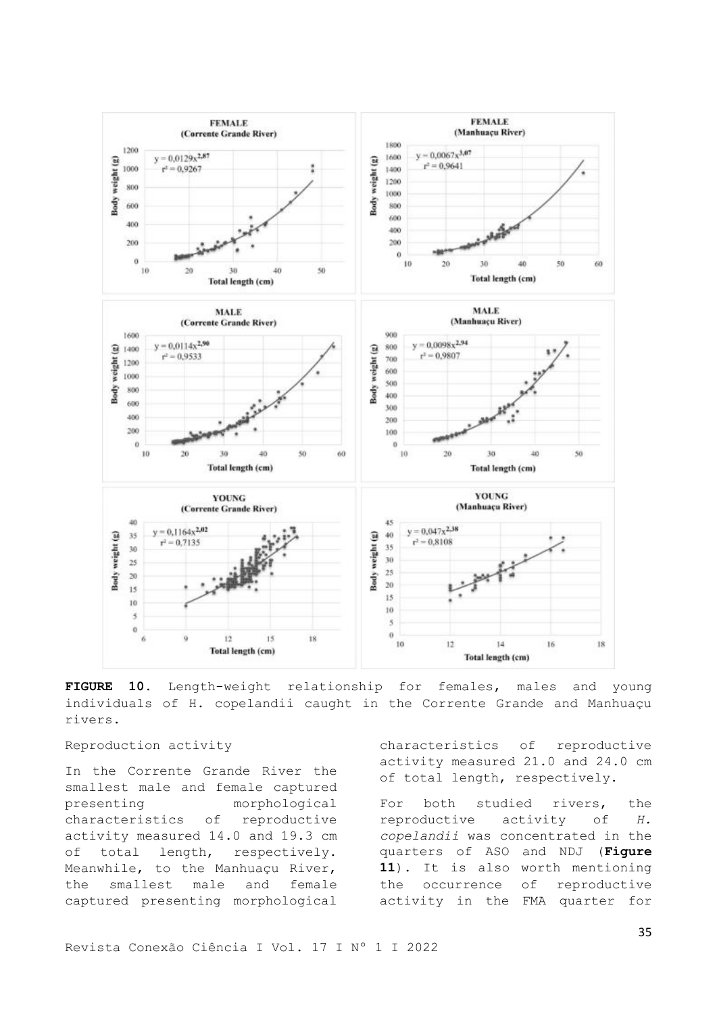

**FIGURE 10.** Length-weight relationship for females, males and young individuals of H. copelandii caught in the Corrente Grande and Manhuaçu rivers.

# Reproduction activity

In the Corrente Grande River the smallest male and female captured presenting morphological characteristics of reproductive activity measured 14.0 and 19.3 cm of total length, respectively. Meanwhile, to the Manhuaçu River, the smallest male and female captured presenting morphological

characteristics of reproductive activity measured 21.0 and 24.0 cm of total length, respectively.

For both studied rivers, the reproductive activity of *H. copelandii* was concentrated in the quarters of ASO and NDJ (**Figure 11**). It is also worth mentioning the occurrence of reproductive activity in the FMA quarter for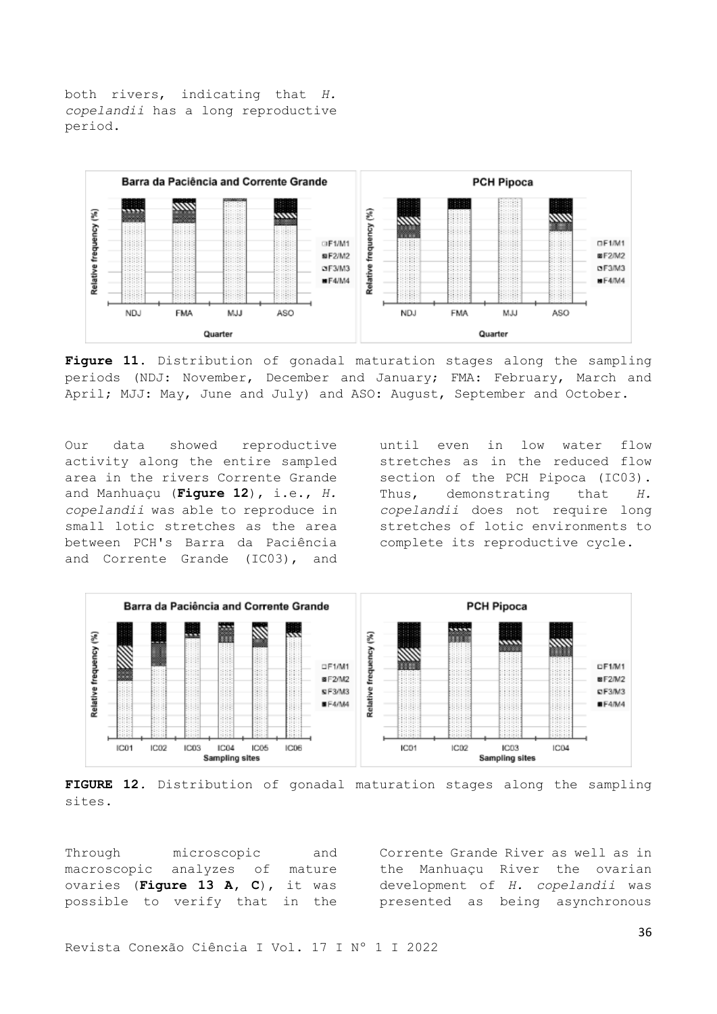both rivers, indicating that *H. copelandii* has a long reproductive period.



**Figure 11.** Distribution of gonadal maturation stages along the sampling periods (NDJ: November, December and January; FMA: February, March and April; MJJ: May, June and July) and ASO: August, September and October.

Our data showed reproductive activity along the entire sampled area in the rivers Corrente Grande and Manhuaçu (**Figure 12**), i.e., *H. copelandii* was able to reproduce in small lotic stretches as the area between PCH's Barra da Paciência and Corrente Grande (IC03), and

until even in low water flow stretches as in the reduced flow section of the PCH Pipoca (IC03). Thus, demonstrating that *H. copelandii* does not require long stretches of lotic environments to complete its reproductive cycle.



**FIGURE 12***.* Distribution of gonadal maturation stages along the sampling sites.

Through microscopic and macroscopic analyzes of mature ovaries (**Figure 13 A, C**), it was possible to verify that in the

Corrente Grande River as well as in the Manhuaçu River the ovarian development of *H. copelandii* was presented as being asynchronous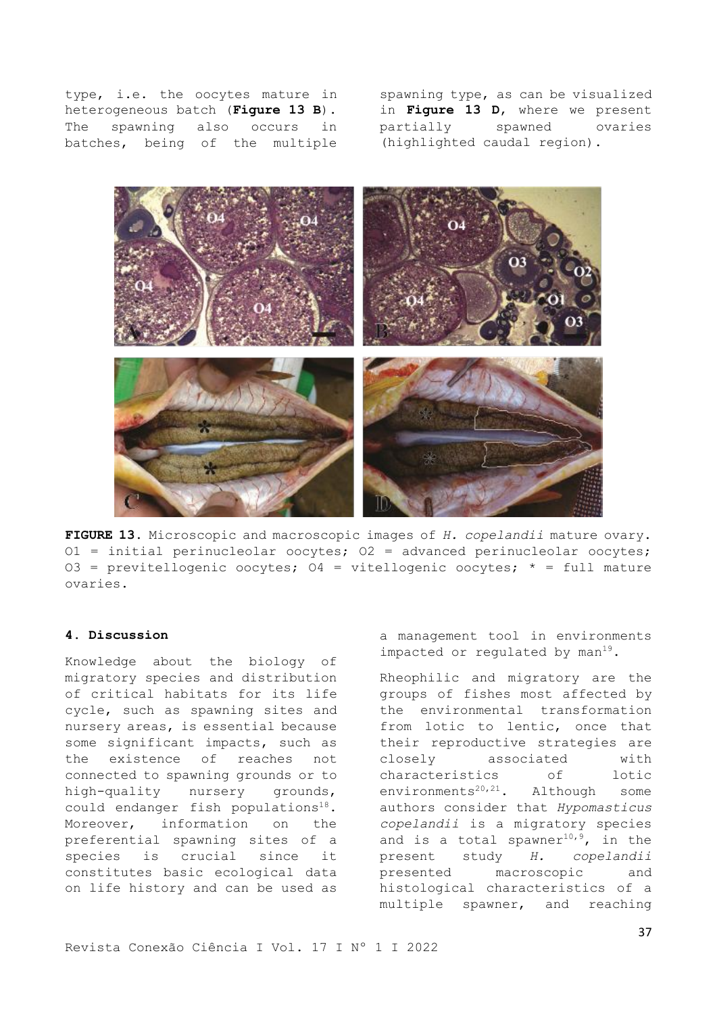type, i.e. the oocytes mature in heterogeneous batch (**Figure 13 B**). The spawning also occurs in batches, being of the multiple

spawning type, as can be visualized in **Figure 13 D**, where we present partially spawned ovaries (highlighted caudal region).



**FIGURE 13**. Microscopic and macroscopic images of *H. copelandii* mature ovary.  $01 =$  initial perinucleolar oocytes;  $02 =$  advanced perinucleolar oocytes; O3 = previtellogenic oocytes; O4 = vitellogenic oocytes;  $*$  = full mature ovaries.

#### **4. Discussion**

Knowledge about the biology of migratory species and distribution of critical habitats for its life cycle, such as spawning sites and nursery areas, is essential because some significant impacts, such as the existence of reaches not connected to spawning grounds or to high-quality nursery grounds, could endanger fish populations<sup>18</sup>. Moreover, information on the preferential spawning sites of a species is crucial since it constitutes basic ecological data on life history and can be used as

a management tool in environments impacted or regulated by  $man^{19}$ .

Rheophilic and migratory are the groups of fishes most affected by the environmental transformation from lotic to lentic, once that their reproductive strategies are closely associated with characteristics of lotic environments<sup>20,21</sup>. Although some authors consider that *Hypomasticus copelandii* is a migratory species and is a total spawner<sup>10,9</sup>, in the present study *H. copelandii* presented macroscopic and histological characteristics of a multiple spawner, and reaching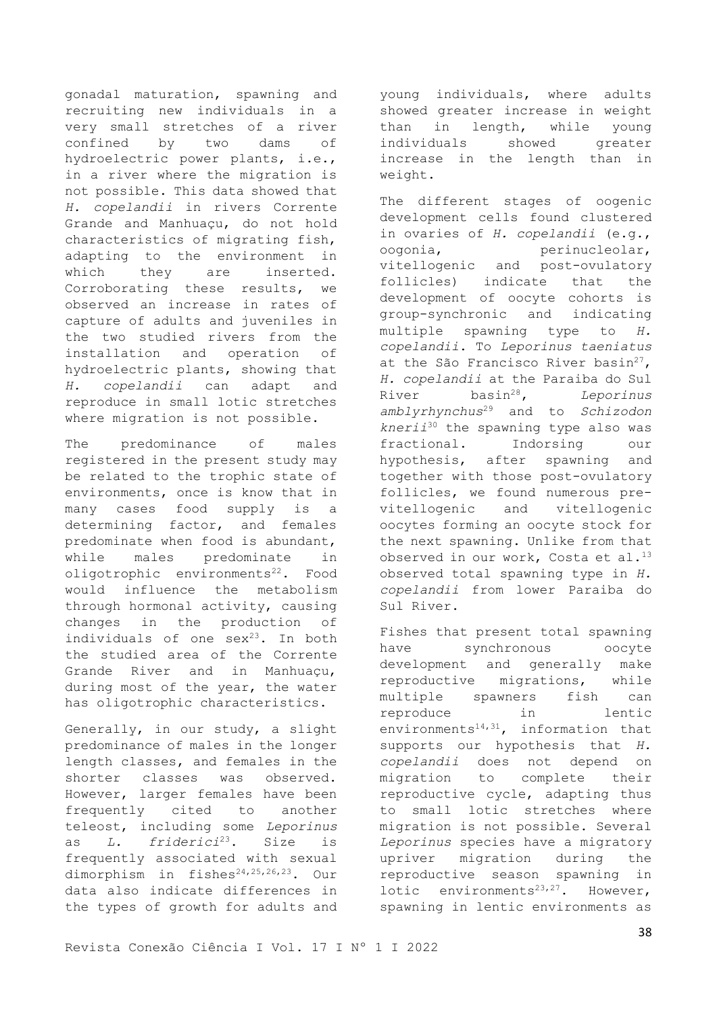gonadal maturation, spawning and recruiting new individuals in a very small stretches of a river confined by two dams of hydroelectric power plants, i.e., in a river where the migration is not possible. This data showed that *H. copelandii* in rivers Corrente Grande and Manhuaçu, do not hold characteristics of migrating fish, adapting to the environment in which they are inserted. Corroborating these results, we observed an increase in rates of capture of adults and juveniles in the two studied rivers from the installation and operation of hydroelectric plants, showing that *H. copelandii* can adapt and reproduce in small lotic stretches where migration is not possible.

The predominance of males registered in the present study may be related to the trophic state of environments, once is know that in many cases food supply is a determining factor, and females predominate when food is abundant, while males predominate in oligotrophic environments<sup>22</sup>. Food would influence the metabolism through hormonal activity, causing changes in the production of individuals of one  $sex^{23}$ . In both the studied area of the Corrente Grande River and in Manhuaçu, during most of the year, the water has oligotrophic characteristics.

Generally, in our study, a slight predominance of males in the longer length classes, and females in the shorter classes was observed. However, larger females have been frequently cited to another teleost, including some *Leporinus* as *L. friderici*<sup>23</sup>. Size is frequently associated with sexual dimorphism in fishes<sup>24,25,26,23</sup>. Our data also indicate differences in the types of growth for adults and young individuals, where adults showed greater increase in weight than in length, while young individuals showed greater increase in the length than in weight.

The different stages of oogenic development cells found clustered in ovaries of *H. copelandii* (e.g., oogonia, perinucleolar, vitellogenic and post-ovulatory follicles) indicate that the development of oocyte cohorts is group-synchronic and indicating multiple spawning type to *H. copelandii*. To *Leporinus taeniatus* at the São Francisco River basin<sup>27</sup>, *H. copelandii* at the Paraiba do Sul River basin<sup>28</sup>, *Leporinus amblyrhynchus*<sup>29</sup> and to *Schizodon knerii*<sup>30</sup> the spawning type also was fractional. Indorsing our hypothesis, after spawning and together with those post-ovulatory follicles, we found numerous previtellogenic and vitellogenic oocytes forming an oocyte stock for the next spawning. Unlike from that observed in our work, Costa et al.<sup>13</sup> observed total spawning type in *H. copelandii* from lower Paraiba do Sul River.

Fishes that present total spawning have synchronous oocyte development and generally make reproductive migrations, while multiple spawners fish can reproduce in lentic environments $14,31$ , information that supports our hypothesis that *H. copelandii* does not depend on migration to complete their reproductive cycle, adapting thus to small lotic stretches where migration is not possible. Several *Leporinus* species have a migratory upriver migration during the reproductive season spawning in lotic environments<sup>23,27</sup>. However, spawning in lentic environments as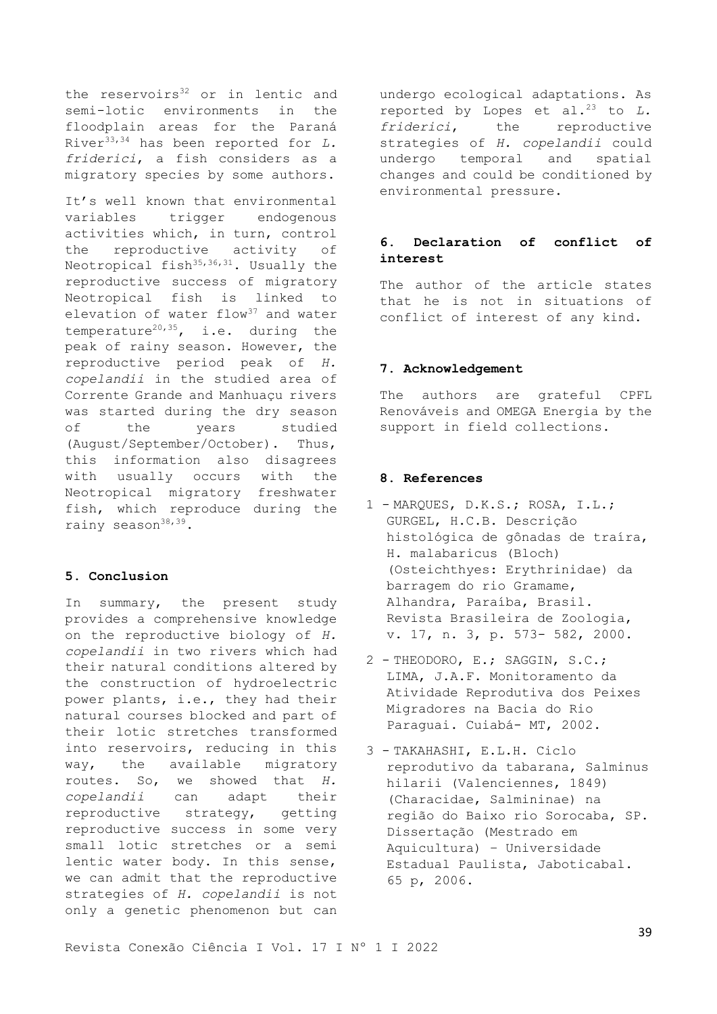the reservoirs<sup>32</sup> or in lentic and semi-lotic environments in the floodplain areas for the Paraná River33,34 has been reported for *L. friderici*, a fish considers as a migratory species by some authors.

It's well known that environmental variables trigger endogenous activities which, in turn, control the reproductive activity of Neotropical fish<sup>35,36,31</sup>. Usually the reproductive success of migratory Neotropical fish is linked to elevation of water flow<sup>37</sup> and water temperature<sup>20,35</sup>, i.e. during the peak of rainy season. However, the reproductive period peak of *H. copelandii* in the studied area of Corrente Grande and Manhuaçu rivers was started during the dry season of the years studied (August/September/October). Thus, this information also disagrees with usually occurs with the Neotropical migratory freshwater fish, which reproduce during the rainy season<sup>38,39</sup>.

## **5. Conclusion**

In summary, the present study provides a comprehensive knowledge on the reproductive biology of *H. copelandii* in two rivers which had their natural conditions altered by the construction of hydroelectric power plants, i.e., they had their natural courses blocked and part of their lotic stretches transformed into reservoirs, reducing in this way, the available migratory routes. So, we showed that *H. copelandii* can adapt their reproductive strategy, getting reproductive success in some very small lotic stretches or a semi lentic water body. In this sense, we can admit that the reproductive strategies of *H. copelandii* is not only a genetic phenomenon but can

undergo ecological adaptations. As reported by Lopes et al.<sup>23</sup> to *L*. *friderici*, the reproductive strategies of *H. copelandii* could undergo temporal and spatial changes and could be conditioned by environmental pressure.

# **6. Declaration of conflict of interest**

The author of the article states that he is not in situations of conflict of interest of any kind.

## **7. Acknowledgement**

The authors are grateful CPFL Renováveis and OMEGA Energia by the support in field collections.

#### **8. References**

- 1 MARQUES, D.K.S.; ROSA, I.L.; GURGEL, H.C.B. Descrição histológica de gônadas de traíra, H. malabaricus (Bloch) (Osteichthyes: Erythrinidae) da barragem do rio Gramame, Alhandra, Paraíba, Brasil. Revista Brasileira de Zoologia, v. 17, n. 3, p. 573- 582, 2000.
- 2 THEODORO, E.; SAGGIN, S.C.; LIMA, J.A.F. Monitoramento da Atividade Reprodutiva dos Peixes Migradores na Bacia do Rio Paraguai. Cuiabá- MT, 2002.
- 3 TAKAHASHI, E.L.H. Ciclo reprodutivo da tabarana, Salminus hilarii (Valenciennes, 1849) (Characidae, Salmininae) na região do Baixo rio Sorocaba, SP. Dissertação (Mestrado em Aquicultura) – Universidade Estadual Paulista, Jaboticabal. 65 p, 2006.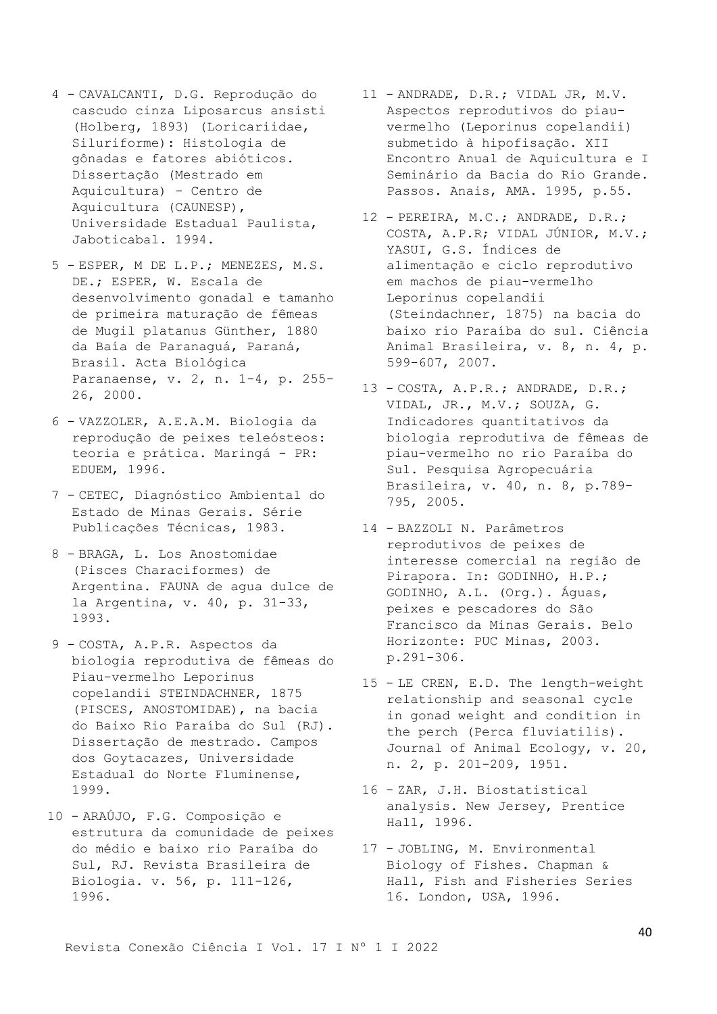- 4 CAVALCANTI, D.G. Reprodução do cascudo cinza Liposarcus ansisti (Holberg, 1893) (Loricariidae, Siluriforme): Histologia de gônadas e fatores abióticos. Dissertação (Mestrado em Aquicultura) - Centro de Aquicultura (CAUNESP), Universidade Estadual Paulista, Jaboticabal. 1994.
- 5 ESPER, M DE L.P.; MENEZES, M.S. DE.; ESPER, W. Escala de desenvolvimento gonadal e tamanho de primeira maturação de fêmeas de Mugil platanus Günther, 1880 da Baía de Paranaguá, Paraná, Brasil. Acta Biológica Paranaense, v. 2, n. 1-4, p. 255- 26, 2000.
- 6 VAZZOLER, A.E.A.M. Biologia da reprodução de peixes teleósteos: teoria e prática. Maringá - PR: EDUEM, 1996.
- 7 CETEC, Diagnóstico Ambiental do Estado de Minas Gerais. Série Publicações Técnicas, 1983.
- 8 BRAGA, L. Los Anostomidae (Pisces Characiformes) de Argentina. FAUNA de agua dulce de la Argentina, v. 40, p. 31-33, 1993.
- 9 COSTA, A.P.R. Aspectos da biologia reprodutiva de fêmeas do Piau-vermelho Leporinus copelandii STEINDACHNER, 1875 (PISCES, ANOSTOMIDAE), na bacia do Baixo Rio Paraíba do Sul (RJ). Dissertação de mestrado. Campos dos Goytacazes, Universidade Estadual do Norte Fluminense, 1999.
- 10 ARAÚJO, F.G. Composição e estrutura da comunidade de peixes do médio e baixo rio Paraíba do Sul, RJ. Revista Brasileira de Biologia. v. 56, p. 111-126, 1996.
- 11 ANDRADE, D.R.; VIDAL JR, M.V. Aspectos reprodutivos do piauvermelho (Leporinus copelandii) submetido à hipofisação. XII Encontro Anual de Aquicultura e I Seminário da Bacia do Rio Grande. Passos. Anais, AMA. 1995, p.55.
- 12 PEREIRA, M.C.; ANDRADE, D.R.; COSTA, A.P.R; VIDAL JÚNIOR, M.V.; YASUI, G.S. Índices de alimentação e ciclo reprodutivo em machos de piau-vermelho Leporinus copelandii (Steindachner, 1875) na bacia do baixo rio Paraíba do sul. Ciência Animal Brasileira, v. 8, n. 4, p. 599-607, 2007.
- 13 COSTA, A.P.R.; ANDRADE, D.R.; VIDAL, JR., M.V.; SOUZA, G. Indicadores quantitativos da biologia reprodutiva de fêmeas de piau-vermelho no rio Paraíba do Sul. Pesquisa Agropecuária Brasileira, v. 40, n. 8, p.789- 795, 2005.
- 14 BAZZOLI N. Parâmetros reprodutivos de peixes de interesse comercial na região de Pirapora. In: GODINHO, H.P.; GODINHO, A.L. (Org.). Águas, peixes e pescadores do São Francisco da Minas Gerais. Belo Horizonte: PUC Minas, 2003. p.291-306.
- 15 LE CREN, E.D. The length-weight relationship and seasonal cycle in gonad weight and condition in the perch (Perca fluviatilis). Journal of Animal Ecology, v. 20, n. 2, p. 201-209, 1951.
- 16 ZAR, J.H. Biostatistical analysis. New Jersey, Prentice Hall, 1996.
- 17 JOBLING, M. Environmental Biology of Fishes. Chapman & Hall, Fish and Fisheries Series 16. London, USA, 1996.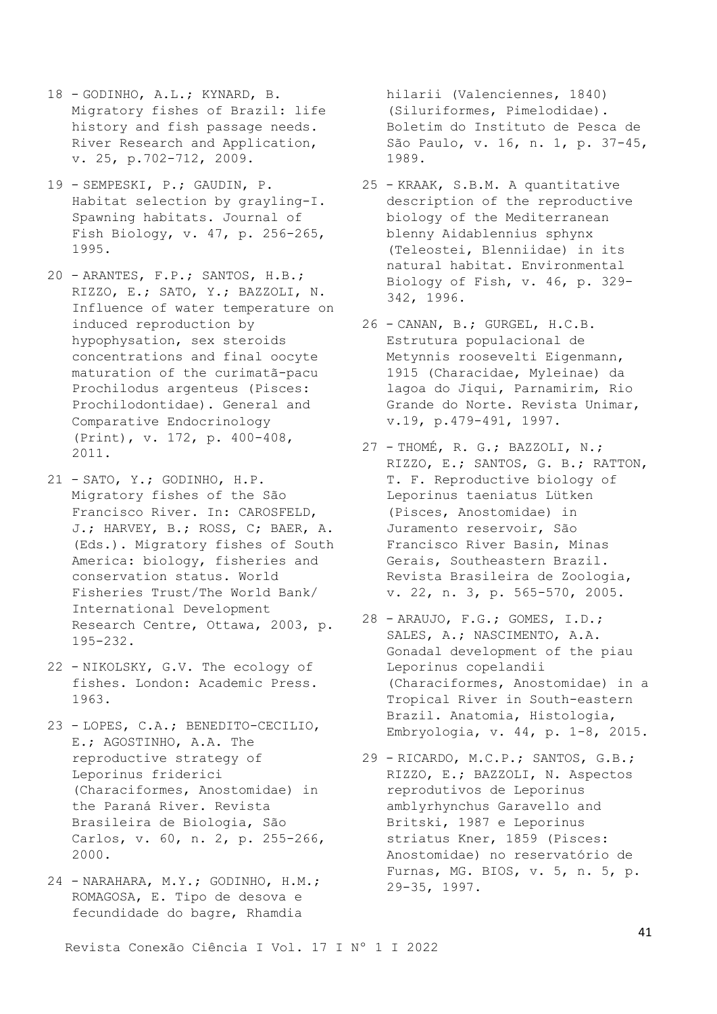- 18 GODINHO, A.L.; KYNARD, B. Migratory fishes of Brazil: life history and fish passage needs. River Research and Application, v. 25, p.702-712, 2009.
- 19 SEMPESKI, P.; GAUDIN, P. Habitat selection by grayling-I. Spawning habitats. Journal of Fish Biology, v. 47, p. 256-265, 1995.
- 20 ARANTES, F.P.; SANTOS, H.B.; RIZZO, E.; SATO, Y.; BAZZOLI, N. Influence of water temperature on induced reproduction by hypophysation, sex steroids concentrations and final oocyte maturation of the curimatã-pacu Prochilodus argenteus (Pisces: Prochilodontidae). General and Comparative Endocrinology (Print), v. 172, p. 400-408, 2011.
- 21 SATO, Y.; GODINHO, H.P. Migratory fishes of the São Francisco River. In: CAROSFELD, J.; HARVEY, B.; ROSS, C; BAER, A. (Eds.). Migratory fishes of South America: biology, fisheries and conservation status. World Fisheries Trust/The World Bank/ International Development Research Centre, Ottawa, 2003, p. 195-232.
- 22 NIKOLSKY, G.V. The ecology of fishes. London: Academic Press. 1963.
- 23 LOPES, C.A.; BENEDITO-CECILIO, E.; AGOSTINHO, A.A. The reproductive strategy of Leporinus friderici (Characiformes, Anostomidae) in the Paraná River. Revista Brasileira de Biologia, São Carlos, v. 60, n. 2, p. 255-266, 2000.
- 24 NARAHARA, M.Y.; GODINHO, H.M.; ROMAGOSA, E. Tipo de desova e fecundidade do bagre, Rhamdia

hilarii (Valenciennes, 1840) (Siluriformes, Pimelodidae). Boletim do Instituto de Pesca de São Paulo, v. 16, n. 1, p. 37-45, 1989.

- 25 KRAAK, S.B.M. A quantitative description of the reproductive biology of the Mediterranean blenny Aidablennius sphynx (Teleostei, Blenniidae) in its natural habitat. Environmental Biology of Fish, v. 46, p. 329- 342, 1996.
- 26 CANAN, B.; GURGEL, H.C.B. Estrutura populacional de Metynnis roosevelti Eigenmann, 1915 (Characidae, Myleinae) da lagoa do Jiqui, Parnamirim, Rio Grande do Norte. Revista Unimar, v.19, p.479-491, 1997.
- 27 THOMÉ, R. G.; BAZZOLI, N.; RIZZO, E.; SANTOS, G. B.; RATTON, T. F. Reproductive biology of Leporinus taeniatus Lütken (Pisces, Anostomidae) in Juramento reservoir, São Francisco River Basin, Minas Gerais, Southeastern Brazil. Revista Brasileira de Zoologia, v. 22, n. 3, p. 565-570, 2005.
- 28 ARAUJO, F.G.; GOMES, I.D.; SALES, A.; NASCIMENTO, A.A. Gonadal development of the piau Leporinus copelandii (Characiformes, Anostomidae) in a Tropical River in South-eastern Brazil. Anatomia, Histologia, Embryologia, v. 44, p. 1-8, 2015.
- 29 RICARDO, M.C.P.; SANTOS, G.B.; RIZZO, E.; BAZZOLI, N. Aspectos reprodutivos de Leporinus amblyrhynchus Garavello and Britski, 1987 e Leporinus striatus Kner, 1859 (Pisces: Anostomidae) no reservatório de Furnas, MG. BIOS, v. 5, n. 5, p. 29-35, 1997.

Revista Conexão Ciência I Vol. 17 I Nº 1 I 2022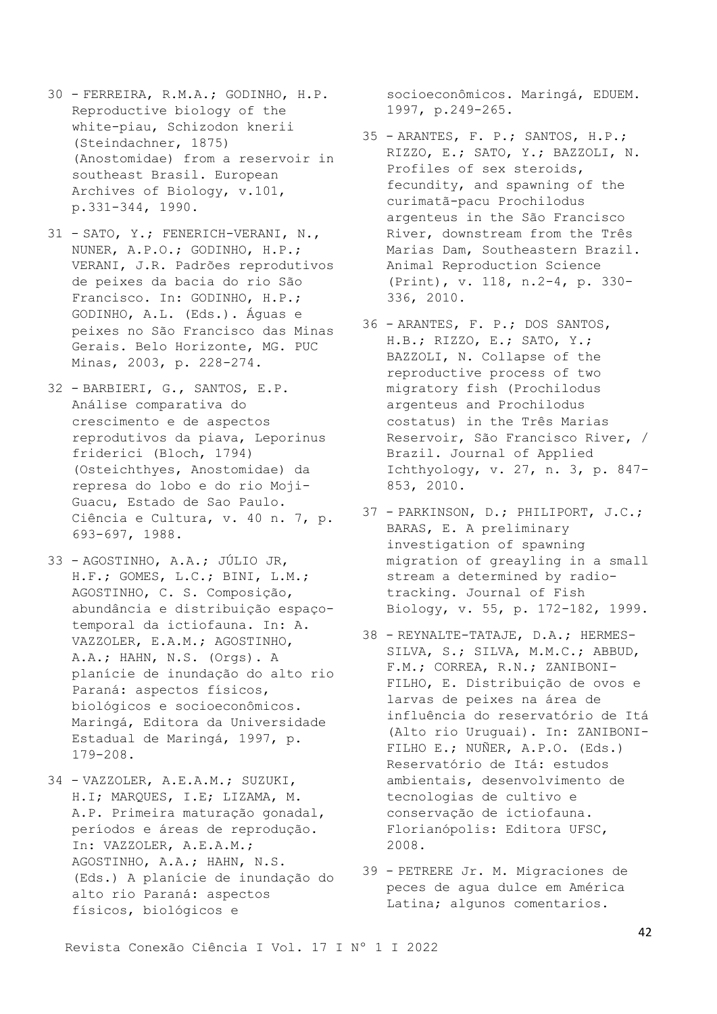- 30 FERREIRA, R.M.A.; GODINHO, H.P. Reproductive biology of the white-piau, Schizodon knerii (Steindachner, 1875) (Anostomidae) from a reservoir in southeast Brasil. European Archives of Biology, v.101, p.331-344, 1990.
- 31 SATO, Y.; FENERICH-VERANI, N., NUNER, A.P.O.; GODINHO, H.P.; VERANI, J.R. Padrões reprodutivos de peixes da bacia do rio São Francisco. In: GODINHO, H.P.; GODINHO, A.L. (Eds.). Águas e peixes no São Francisco das Minas Gerais. Belo Horizonte, MG. PUC Minas, 2003, p. 228-274.
- 32 BARBIERI, G., SANTOS, E.P. Análise comparativa do crescimento e de aspectos reprodutivos da piava, Leporinus friderici (Bloch, 1794) (Osteichthyes, Anostomidae) da represa do lobo e do rio Moji-Guacu, Estado de Sao Paulo. Ciência e Cultura, v. 40 n. 7, p. 693-697, 1988.
- 33 AGOSTINHO, A.A.; JÚLIO JR, H.F.; GOMES, L.C.; BINI, L.M.; AGOSTINHO, C. S. Composição, abundância e distribuição espaçotemporal da ictiofauna. In: A. VAZZOLER, E.A.M.; AGOSTINHO, A.A.; HAHN, N.S. (Orgs). A planície de inundação do alto rio Paraná: aspectos físicos, biológicos e socioeconômicos. Maringá, Editora da Universidade Estadual de Maringá, 1997, p. 179-208.
- 34 VAZZOLER, A.E.A.M.; SUZUKI, H.I; MARQUES, I.E; LIZAMA, M. A.P. Primeira maturação gonadal, períodos e áreas de reprodução. In: VAZZOLER, A.E.A.M.; AGOSTINHO, A.A.; HAHN, N.S. (Eds.) A planície de inundação do alto rio Paraná: aspectos físicos, biológicos e

socioeconômicos. Maringá, EDUEM. 1997, p.249-265.

- 35 ARANTES, F. P.; SANTOS, H.P.; RIZZO, E.; SATO, Y.; BAZZOLI, N. Profiles of sex steroids, fecundity, and spawning of the curimatã-pacu Prochilodus argenteus in the São Francisco River, downstream from the Três Marias Dam, Southeastern Brazil. Animal Reproduction Science (Print), v. 118, n.2-4, p. 330- 336, 2010.
- 36 ARANTES, F. P.; DOS SANTOS, H.B.; RIZZO, E.; SATO, Y.; BAZZOLI, N. Collapse of the reproductive process of two migratory fish (Prochilodus argenteus and Prochilodus costatus) in the Três Marias Reservoir, São Francisco River, / Brazil. Journal of Applied Ichthyology, v. 27, n. 3, p. 847- 853, 2010.
- 37 PARKINSON, D.; PHILIPORT, J.C.; BARAS, E. A preliminary investigation of spawning migration of greayling in a small stream a determined by radiotracking. Journal of Fish Biology, v. 55, p. 172-182, 1999.
- 38 REYNALTE-TATAJE, D.A.; HERMES-SILVA, S.; SILVA, M.M.C.; ABBUD, F.M.; CORREA, R.N.; ZANIBONI-FILHO, E. Distribuição de ovos e larvas de peixes na área de influência do reservatório de Itá (Alto rio Uruguai). In: ZANIBONI-FILHO E.; NUÑER, A.P.O. (Eds.) Reservatório de Itá: estudos ambientais, desenvolvimento de tecnologias de cultivo e conservação de ictiofauna. Florianópolis: Editora UFSC, 2008.
- 39 PETRERE Jr. M. Migraciones de peces de agua dulce em América Latina; algunos comentarios.